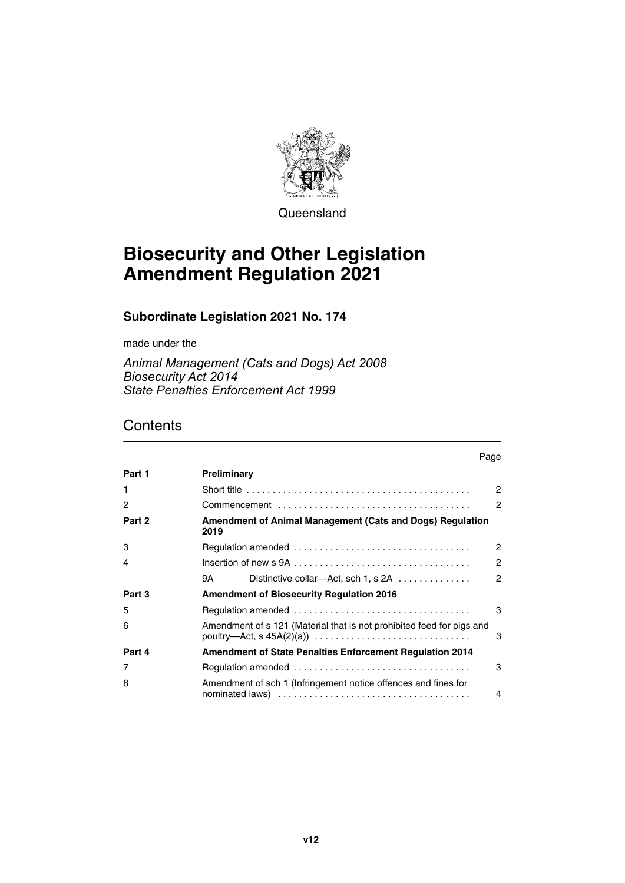

Queensland

## **Biosecurity and Other Legislation Amendment Regulation 2021**

#### **Subordinate Legislation 2021 No. 174**

made under the

*Animal Management (Cats and Dogs) Act 2008 Biosecurity Act 2014 State Penalties Enforcement Act 1999*

### **Contents**

|              | Page                                                                                                                                                                       |  |  |
|--------------|----------------------------------------------------------------------------------------------------------------------------------------------------------------------------|--|--|
| Part 1       | Preliminary                                                                                                                                                                |  |  |
| $\mathbf{1}$ | Short title $\ldots \ldots \ldots \ldots \ldots \ldots \ldots \ldots \ldots \ldots \ldots \ldots$<br>$\mathcal{P}$                                                         |  |  |
| 2            | 2                                                                                                                                                                          |  |  |
| Part 2       | <b>Amendment of Animal Management (Cats and Dogs) Regulation</b><br>2019                                                                                                   |  |  |
| 3            | $\mathcal{P}$                                                                                                                                                              |  |  |
| 4            | $\mathcal{P}$                                                                                                                                                              |  |  |
|              | $\mathfrak{p}$<br>Distinctive collar—Act, sch 1, s 2A<br>9A                                                                                                                |  |  |
| Part 3       | <b>Amendment of Biosecurity Regulation 2016</b>                                                                                                                            |  |  |
| 5            | 3                                                                                                                                                                          |  |  |
| 6            | Amendment of s 121 (Material that is not prohibited feed for pigs and<br>poultry—Act, $s$ 45A(2)(a)) $\ldots \ldots \ldots \ldots \ldots \ldots \ldots \ldots \ldots$<br>3 |  |  |
| Part 4       | <b>Amendment of State Penalties Enforcement Requiation 2014</b>                                                                                                            |  |  |
| 7            | 3                                                                                                                                                                          |  |  |
| 8            | Amendment of sch 1 (Infringement notice offences and fines for<br>4                                                                                                        |  |  |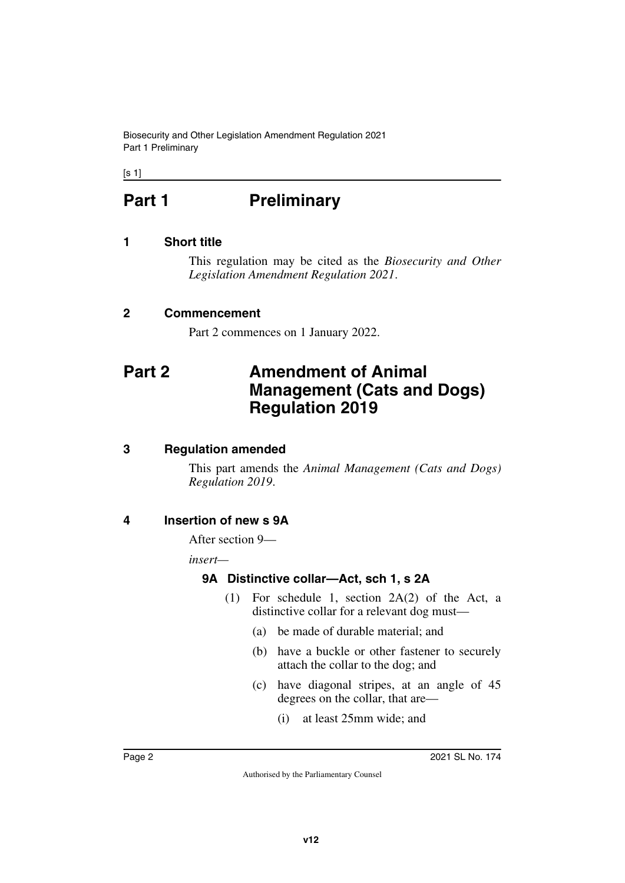Biosecurity and Other Legislation Amendment Regulation 2021 Part 1 Preliminary

<span id="page-1-0"></span> $[s 1]$ 

# **Part 1** Preliminary

#### <span id="page-1-2"></span>**1 Short title**

<span id="page-1-3"></span><span id="page-1-1"></span>This regulation may be cited as the *Biosecurity and Other Legislation Amendment Regulation 2021*.

#### <span id="page-1-4"></span>**2 Commencement**

<span id="page-1-7"></span><span id="page-1-5"></span>Part 2 commences on 1 January 2022.

## <span id="page-1-6"></span>**Part 2 Amendment of Animal Management (Cats and Dogs) Regulation 2019**

#### <span id="page-1-8"></span>**3 Regulation amended**

<span id="page-1-9"></span>This part amends the *Animal Management (Cats and Dogs) Regulation 2019*.

#### <span id="page-1-10"></span>**4 Insertion of new s 9A**

<span id="page-1-11"></span>After section 9—

*insert—*

#### <span id="page-1-13"></span><span id="page-1-12"></span>**9A Distinctive collar—Act, sch 1, s 2A**

- (1) For schedule 1, section 2A(2) of the Act, a distinctive collar for a relevant dog must—
	- (a) be made of durable material; and
	- (b) have a buckle or other fastener to securely attach the collar to the dog; and
	- (c) have diagonal stripes, at an angle of 45 degrees on the collar, that are—
		- (i) at least 25mm wide; and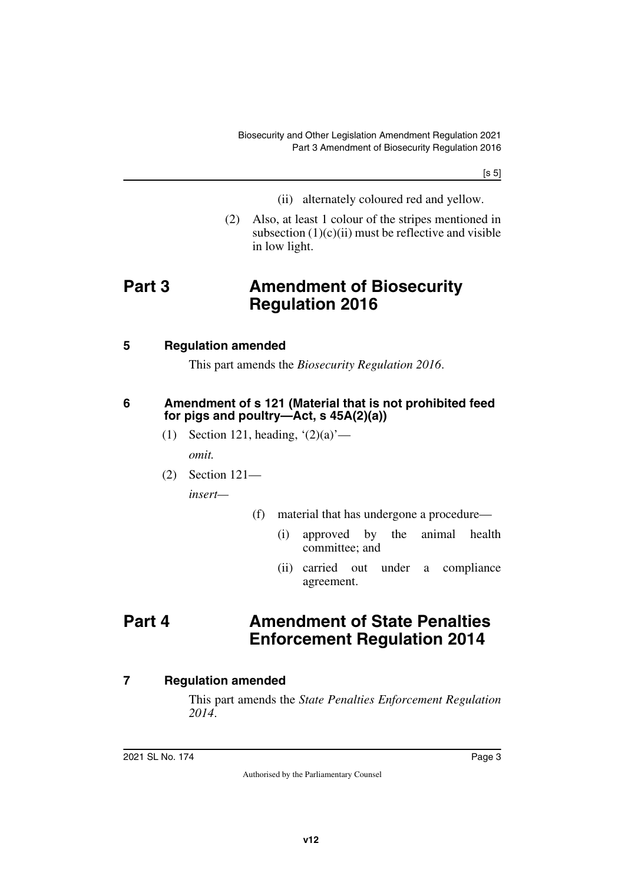[s 5]

- (ii) alternately coloured red and yellow.
- <span id="page-2-1"></span>(2) Also, at least 1 colour of the stripes mentioned in subsection  $(1)(c)(ii)$  must be reflective and visible in low light.

## <span id="page-2-0"></span>**Part 3 Amendment of Biosecurity Regulation 2016**

#### <span id="page-2-2"></span>**5 Regulation amended**

<span id="page-2-5"></span><span id="page-2-3"></span>This part amends the *Biosecurity Regulation 2016*.

#### <span id="page-2-4"></span>**6 Amendment of s 121 (Material that is not prohibited feed for pigs and poultry—Act, s 45A(2)(a))**

(1) Section 121, heading,  $(2)(a)$  —

*omit.*

(2) Section 121—

*insert—*

- <span id="page-2-7"></span>(f) material that has undergone a procedure—
	- (i) approved by the animal health committee; and
	- (ii) carried out under a compliance agreement.

## <span id="page-2-6"></span>**Part 4 Amendment of State Penalties Enforcement Regulation 2014**

#### <span id="page-2-8"></span>**7 Regulation amended**

<span id="page-2-9"></span>This part amends the *State Penalties Enforcement Regulation 2014*.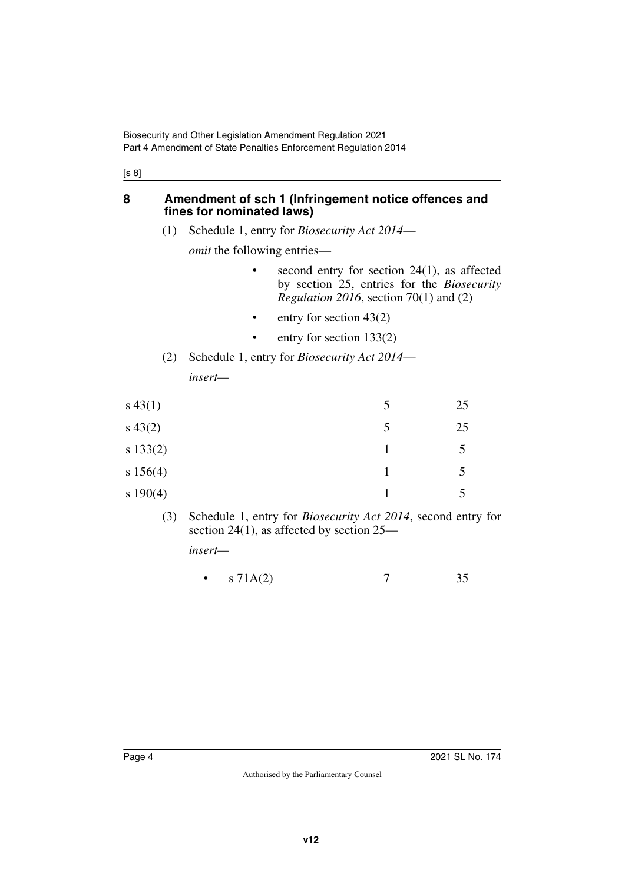[s 8]

#### <span id="page-3-0"></span>**8 Amendment of sch 1 (Infringement notice offences and fines for nominated laws)**

<span id="page-3-1"></span>(1) Schedule 1, entry for *Biosecurity Act 2014*—

*omit* the following entries—

- second entry for section  $24(1)$ , as affected by section 25, entries for the *Biosecurity Regulation 2016*, section 70(1) and (2)
- entry for section  $43(2)$
- entry for section 133(2)
- (2) Schedule 1, entry for *Biosecurity Act 2014 insert—*

| $s\,43(1)$ | 5 | 25 |
|------------|---|----|
| $s\,43(2)$ | 5 | 25 |
| s 133(2)   |   | 5  |
| s 156(4)   |   | 5  |
| s 190(4)   |   |    |

(3) Schedule 1, entry for *Biosecurity Act 2014*, second entry for section 24(1), as affected by section 25—

*insert—*

•  $s \, 71A(2)$  7 35